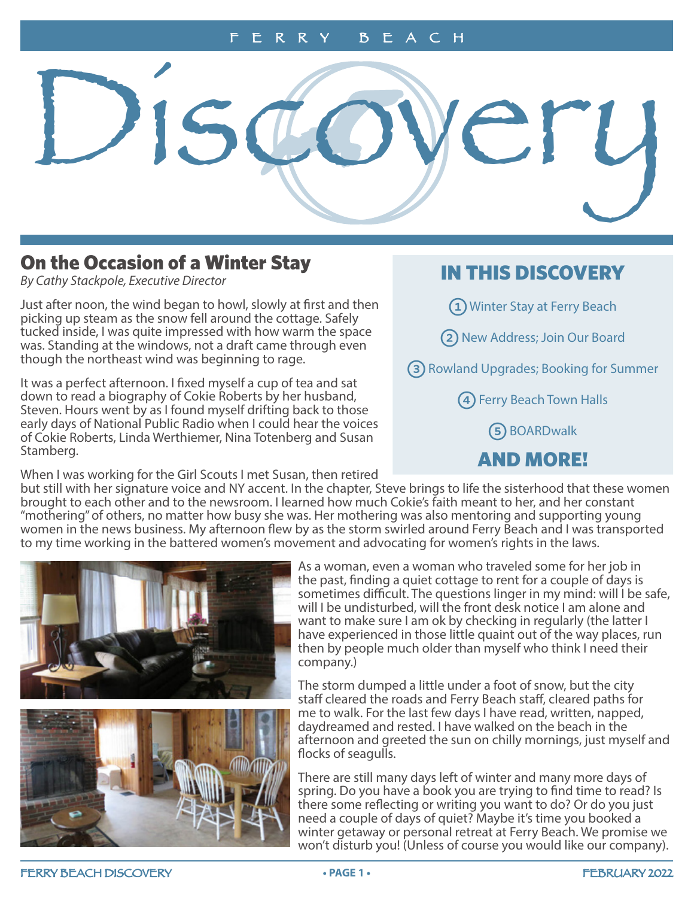<span id="page-0-0"></span>Discoyery

# On the Occasion of a Winter Stay

*By Cathy Stackpole, Executive Director*

Just after noon, the wind began to howl, slowly at first and then picking up steam as the snow fell around the cottage. Safely tucked inside, I was quite impressed with how warm the space was. Standing at the windows, not a draft came through even though the northeast wind was beginning to rage.

It was a perfect afternoon. I fixed myself a cup of tea and sat down to read a biography of Cokie Roberts by her husband, Steven. Hours went by as I found myself drifting back to those early days of National Public Radio when I could hear the voices of Cokie Roberts, Linda Werthiemer, Nina Totenberg and Susan Stamberg.

When I was working for the Girl Scouts I met Susan, then retired

# IN THIS DISCOVERY

1 Winter Stay at Ferry Beach

2 [New Address; Join Our Board](#page-1-0)

3 [Rowland Upgrades; Booking for Summer](#page-2-0)

4 [Ferry Beach Town Halls](#page-3-0)

5 [BOARDwalk](#page-4-0)

# [AND MORE!](#page-5-0)

but still with her signature voice and NY accent. In the chapter, Steve brings to life the sisterhood that these women brought to each other and to the newsroom. I learned how much Cokie's faith meant to her, and her constant "mothering" of others, no matter how busy she was. Her mothering was also mentoring and supporting young women in the news business. My afternoon flew by as the storm swirled around Ferry Beach and I was transported to my time working in the battered women's movement and advocating for women's rights in the laws.





As a woman, even a woman who traveled some for her job in the past, finding a quiet cottage to rent for a couple of days is sometimes difficult. The questions linger in my mind: will I be safe, will I be undisturbed, will the front desk notice I am alone and want to make sure I am ok by checking in regularly (the latter I have experienced in those little quaint out of the way places, run then by people much older than myself who think I need their company.)

The storm dumped a little under a foot of snow, but the city staff cleared the roads and Ferry Beach staff, cleared paths for me to walk. For the last few days I have read, written, napped, daydreamed and rested. I have walked on the beach in the afternoon and greeted the sun on chilly mornings, just myself and flocks of seagulls.

There are still many days left of winter and many more days of spring. Do you have a book you are trying to find time to read? Is there some reflecting or writing you want to do? Or do you just need a couple of days of quiet? Maybe it's time you booked a winter getaway or personal retreat at Ferry Beach. We promise we won't disturb you! (Unless of course you would like our company).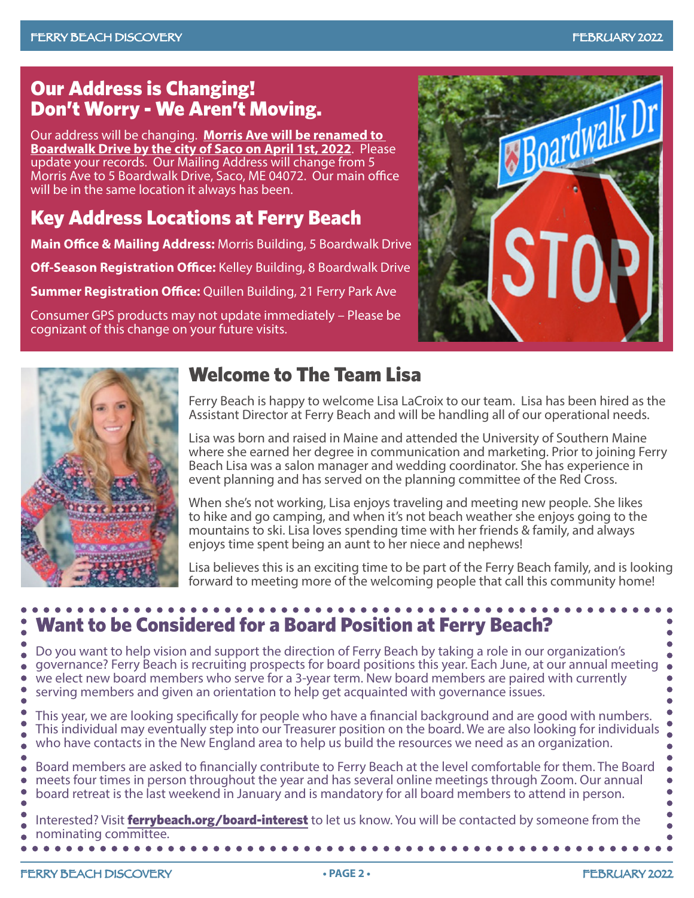# <span id="page-1-0"></span>Our Address is Changing! Don't Worry - We Aren't Moving.

Our address will be changing. **Morris Ave will be renamed to Boardwalk Drive by the city of Saco on April 1st, 2022**. Please update your records. Our Mailing Address will change from 5 Morris Ave to 5 Boardwalk Drive, Saco, ME 04072. Our main office will be in the same location it always has been.

# Key Address Locations at Ferry Beach

**Main Office & Mailing Address:** Morris Building, 5 Boardwalk Drive

**Off-Season Registration Office:** Kelley Building, 8 Boardwalk Drive

**Summer Registration Office:** Quillen Building, 21 Ferry Park Ave

Consumer GPS products may not update immediately – Please be cognizant of this change on your future visits.





# Welcome to The Team Lisa

Ferry Beach is happy to welcome Lisa LaCroix to our team. Lisa has been hired as the Assistant Director at Ferry Beach and will be handling all of our operational needs.

Lisa was born and raised in Maine and attended the University of Southern Maine where she earned her degree in communication and marketing. Prior to joining Ferry Beach Lisa was a salon manager and wedding coordinator. She has experience in event planning and has served on the planning committee of the Red Cross.

When she's not working, Lisa enjoys traveling and meeting new people. She likes to hike and go camping, and when it's not beach weather she enjoys going to the mountains to ski. Lisa loves spending time with her friends & family, and always enjoys time spent being an aunt to her niece and nephews!

Lisa believes this is an exciting time to be part of the Ferry Beach family, and is looking forward to meeting more of the welcoming people that call this community home!

## Want to be Considered for a Board Position at Ferry Beach? Do you want to help vision and support the direction of Ferry Beach by taking a role in our organization's governance? Ferry Beach is recruiting prospects for board positions this year. Each June, at our annual meeting we elect new board members who serve for a 3-year term. New board members are paired with currently serving members and given an orientation to help get acquainted with governance issues. This year, we are looking specifically for people who have a financial background and are good with numbers. This individual may eventually step into our Treasurer position on the board. We are also looking for individuals who have contacts in the New England area to help us build the resources we need as an organization. Board members are asked to financially contribute to Ferry Beach at the level comfortable for them. The Board meets four times in person throughout the year and has several online meetings through Zoom. Our annual board retreat is the last weekend in January and is mandatory for all board members to attend in person. Interested? Visit [ferrybeach.org/board-interest](http://www.ferrybeach.org/board-interest) to let us know. You will be contacted by someone from the nominating committee. . . . . . . . .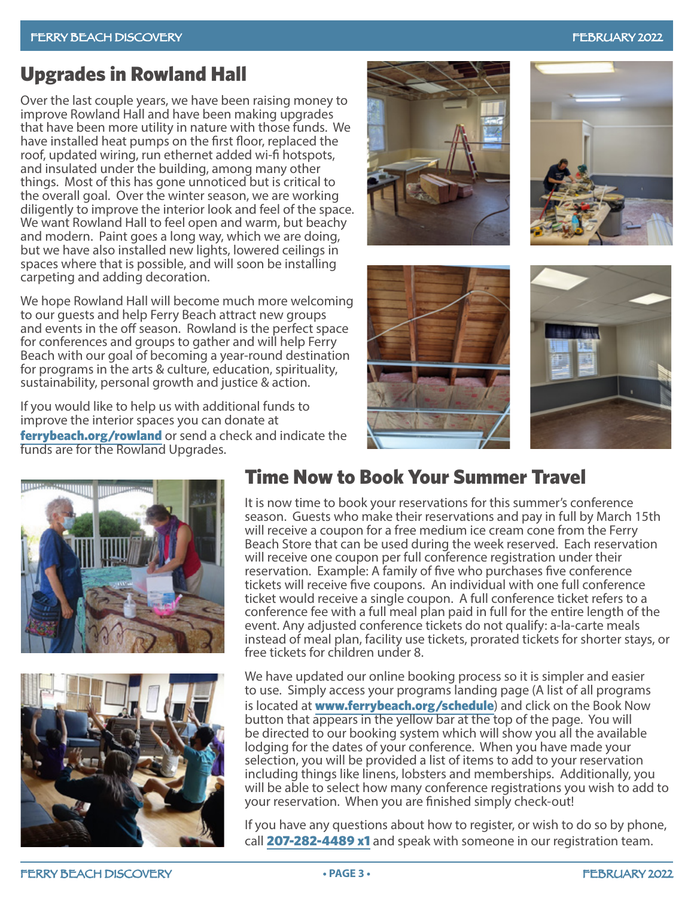# <span id="page-2-0"></span>Upgrades in Rowland Hall

Over the last couple years, we have been raising money to improve Rowland Hall and have been making upgrades that have been more utility in nature with those funds. We have installed heat pumps on the first floor, replaced the roof, updated wiring, run ethernet added wi-fi hotspots, and insulated under the building, among many other things. Most of this has gone unnoticed but is critical to the overall goal. Over the winter season, we are working diligently to improve the interior look and feel of the space. We want Rowland Hall to feel open and warm, but beachy and modern. Paint goes a long way, which we are doing, but we have also installed new lights, lowered ceilings in spaces where that is possible, and will soon be installing carpeting and adding decoration.

We hope Rowland Hall will become much more welcoming to our guests and help Ferry Beach attract new groups and events in the off season. Rowland is the perfect space for conferences and groups to gather and will help Ferry Beach with our goal of becoming a year-round destination for programs in the arts & culture, education, spirituality, sustainability, personal growth and justice & action.

If you would like to help us with additional funds to improve the interior spaces you can donate at [ferrybeach.org/rowland](http://www.ferrybeach.org/rowland) or send a check and indicate the funds are for the Rowland Upgrades.





# Time Now to Book Your Summer Travel

It is now time to book your reservations for this summer's conference season. Guests who make their reservations and pay in full by March 15th will receive a coupon for a free medium ice cream cone from the Ferry Beach Store that can be used during the week reserved. Each reservation will receive one coupon per full conference registration under their reservation. Example: A family of five who purchases five conference tickets will receive five coupons. An individual with one full conference ticket would receive a single coupon. A full conference ticket refers to a conference fee with a full meal plan paid in full for the entire length of the event. Any adjusted conference tickets do not qualify: a-la-carte meals instead of meal plan, facility use tickets, prorated tickets for shorter stays, or free tickets for children under 8.

We have updated our online booking process so it is simpler and easier to use. Simply access your programs landing page (A list of all programs is located at **[www.ferrybeach.org/schedule](http://www.ferrybeach.org/schedule)**) and click on the Book Now button that appears in the yellow bar at the top of the page. You will be directed to our booking system which will show you all the available lodging for the dates of your conference. When you have made your selection, you will be provided a list of items to add to your reservation including things like linens, lobsters and memberships. Additionally, you will be able to select how many conference registrations you wish to add to your reservation. When you are finished simply check-out!

If you have any questions about how to register, or wish to do so by phone, call 207-282-4489 x1 and speak with someone in our registration team.





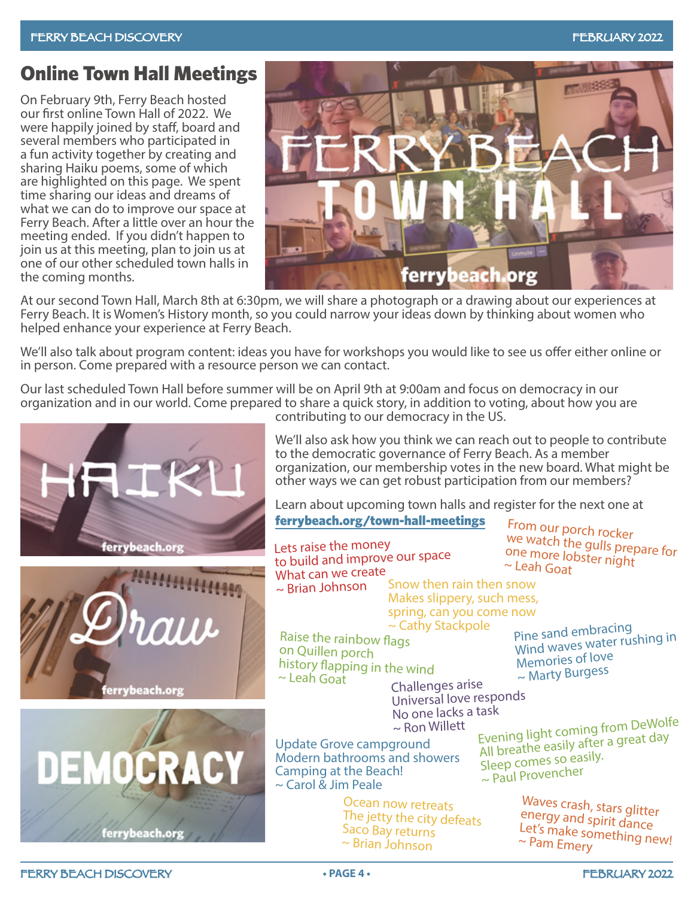# <span id="page-3-0"></span>Online Town Hall Meetings

On February 9th, Ferry Beach hosted our first online Town Hall of 2022. We were happily joined by staff, board and several members who participated in a fun activity together by creating and sharing Haiku poems, some of which are highlighted on this page. We spent time sharing our ideas and dreams of what we can do to improve our space at Ferry Beach. After a little over an hour the meeting ended. If you didn't happen to join us at this meeting, plan to join us at one of our other scheduled town halls in the coming months.



At our second Town Hall, March 8th at 6:30pm, we will share a photograph or a drawing about our experiences at Ferry Beach. It is Women's History month, so you could narrow your ideas down by thinking about women who helped enhance your experience at Ferry Beach.

We'll also talk about program content: ideas you have for workshops you would like to see us offer either online or in person. Come prepared with a resource person we can contact.

Our last scheduled Town Hall before summer will be on April 9th at 9:00am and focus on democracy in our organization and in our world. Come prepared to share a quick story, in addition to voting, about how you are contributing to our democracy in the US.



Learn about upcoming town halls and register for the next one at [ferrybeach.org/town-hall-meetings](http://www.ferrybeach.org/town-hall-meetings)

From our porch rocker we watch the gulls prepare for one more lobster night  $\sim$  Leah Goat Challenges arise Universal love responds No one lacks a tas<sup>k</sup> ~ Ron Willett Raise the rainbow flags on Quillen porch history flapping in the wind ~ Leah Goat Pine sand embracing Wind waves water rushing in Memories of love ~ Marty Burgess Update Grove campground Modern bathrooms and showers Camping at the Beach! ~ Carol & Jim Peale Evening light coming from DeWolfe All breathe easily after a great day Sleep comes so easily. ~ Paul Provencher Lets raise the money to build and improve our space What can we create  $\sim$  Brian Johnson Snow then rain then snow Makes slippery, such mess, spring, can you come now ~ Cathy Stackpole

Ocean now retreats The jetty the city defeats Saco Bay returns ~ Brian Johnson

Waves crash, stars glitter energy and spirit dance Let's make something new! ~ Pam Emery

ferrybeach.org  $7111$ ferrybeach.org

ferrybeach.org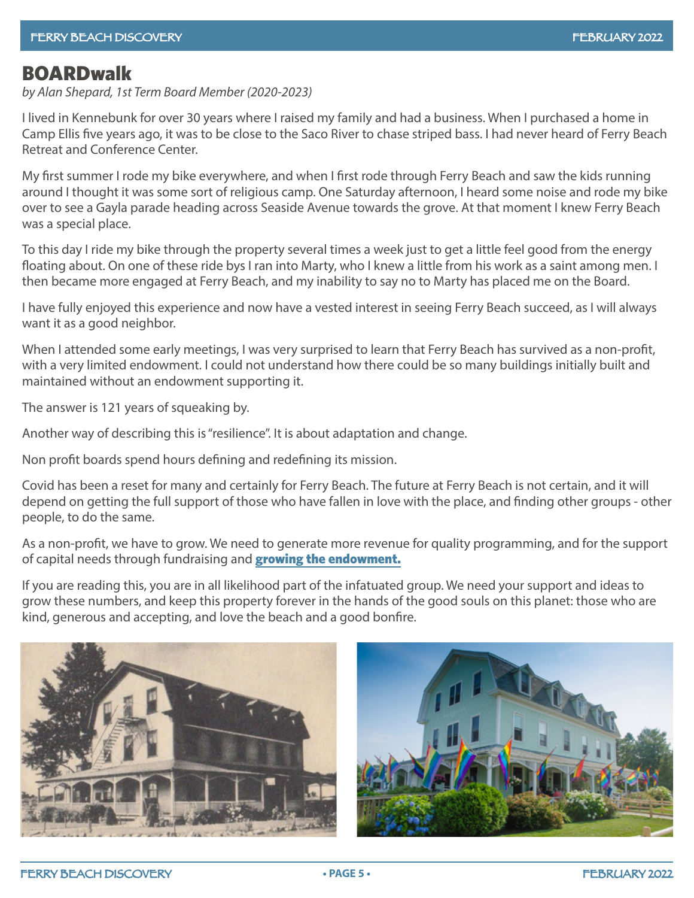# <span id="page-4-0"></span>**BOARDwalk**

*by Alan Shepard, 1st Term Board Member (2020-2023)*

I lived in Kennebunk for over 30 years where I raised my family and had a business. When I purchased a home in Camp Ellis five years ago, it was to be close to the Saco River to chase striped bass. I had never heard of Ferry Beach Retreat and Conference Center.

My first summer I rode my bike everywhere, and when I first rode through Ferry Beach and saw the kids running around I thought it was some sort of religious camp. One Saturday afternoon, I heard some noise and rode my bike over to see a Gayla parade heading across Seaside Avenue towards the grove. At that moment I knew Ferry Beach was a special place.

To this day I ride my bike through the property several times a week just to get a little feel good from the energy floating about. On one of these ride bys I ran into Marty, who I knew a little from his work as a saint among men. I then became more engaged at Ferry Beach, and my inability to say no to Marty has placed me on the Board.

I have fully enjoyed this experience and now have a vested interest in seeing Ferry Beach succeed, as I will always want it as a good neighbor.

When I attended some early meetings, I was very surprised to learn that Ferry Beach has survived as a non-profit, with a very limited endowment. I could not understand how there could be so many buildings initially built and maintained without an endowment supporting it.

The answer is 121 years of squeaking by.

Another way of describing this is "resilience". It is about adaptation and change.

Non profit boards spend hours defining and redefining its mission.

Covid has been a reset for many and certainly for Ferry Beach. The future at Ferry Beach is not certain, and it will depend on getting the full support of those who have fallen in love with the place, and finding other groups - other people, to do the same.

As a non-profit, we have to grow. We need to generate more revenue for quality programming, and for the support of capital needs through fundraising and **[growing the endowment.](https://connect.clickandpledge.com/w/Form/54f4780b-5ad8-48ca-a93a-24910456a4b5)** 

If you are reading this, you are in all likelihood part of the infatuated group. We need your support and ideas to grow these numbers, and keep this property forever in the hands of the good souls on this planet: those who are kind, generous and accepting, and love the beach and a good bonfire.